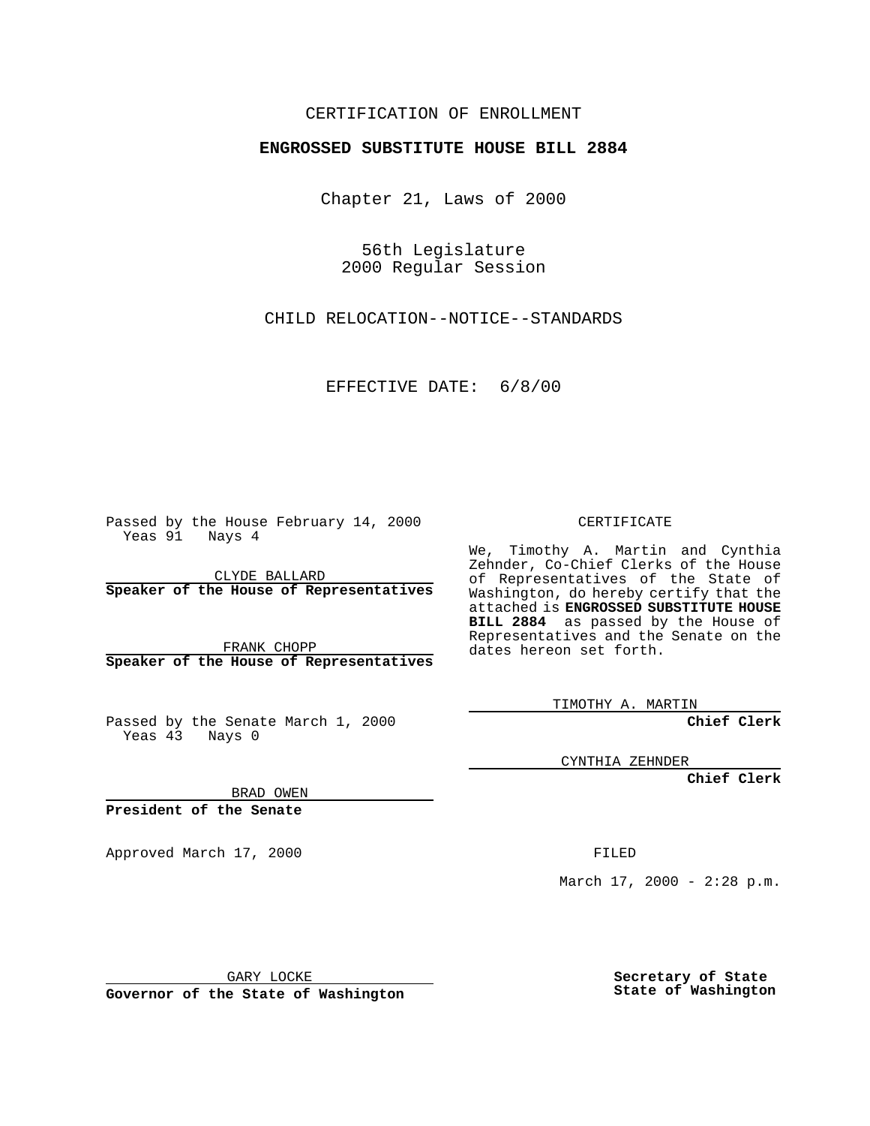### CERTIFICATION OF ENROLLMENT

# **ENGROSSED SUBSTITUTE HOUSE BILL 2884**

Chapter 21, Laws of 2000

56th Legislature 2000 Regular Session

CHILD RELOCATION--NOTICE--STANDARDS

### EFFECTIVE DATE: 6/8/00

Passed by the House February 14, 2000 Yeas 91 Nays 4

CLYDE BALLARD **Speaker of the House of Representatives**

FRANK CHOPP **Speaker of the House of Representatives**

Passed by the Senate March 1, 2000 Yeas 43 Nays 0

CERTIFICATE

We, Timothy A. Martin and Cynthia Zehnder, Co-Chief Clerks of the House of Representatives of the State of Washington, do hereby certify that the attached is **ENGROSSED SUBSTITUTE HOUSE BILL 2884** as passed by the House of Representatives and the Senate on the dates hereon set forth.

TIMOTHY A. MARTIN

**Chief Clerk**

CYNTHIA ZEHNDER

**Chief Clerk**

BRAD OWEN

**President of the Senate**

Approved March 17, 2000 FILED

March  $17, 2000 - 2:28 \text{ p.m.}$ 

GARY LOCKE

**Governor of the State of Washington**

**Secretary of State State of Washington**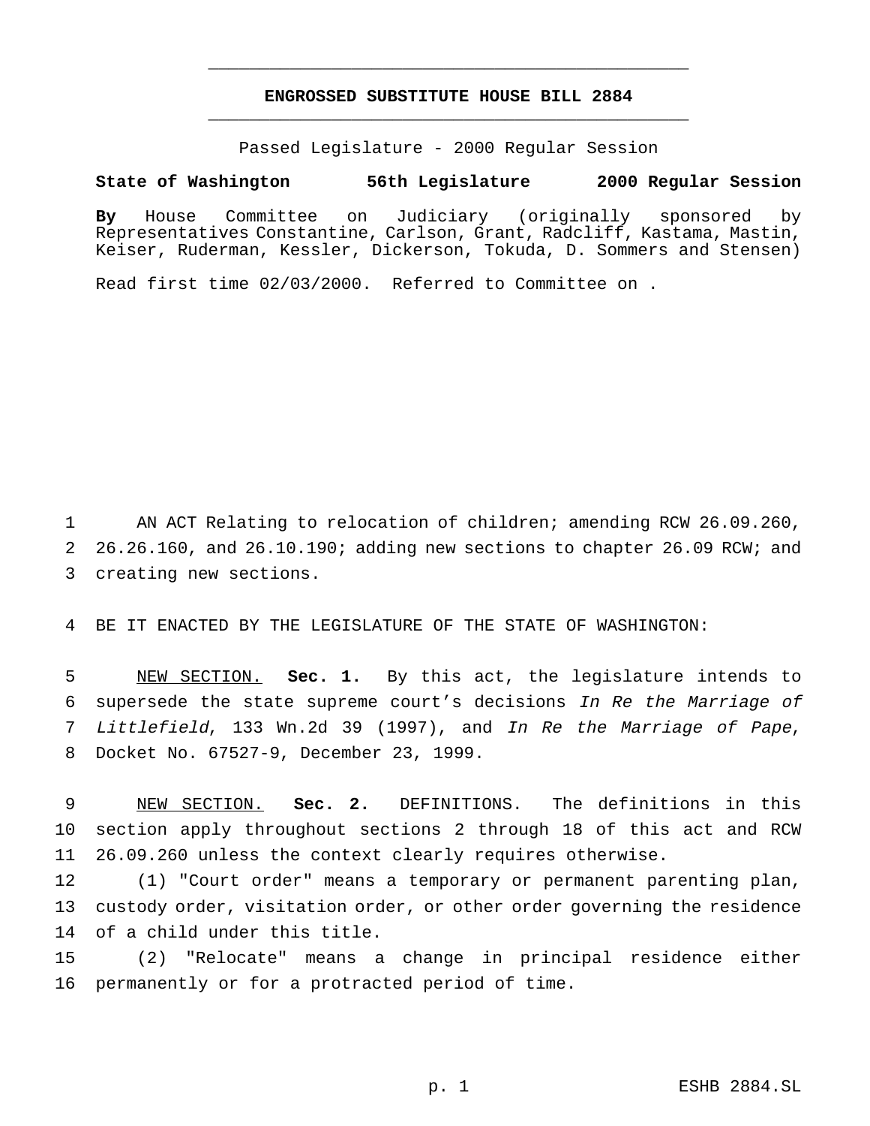# **ENGROSSED SUBSTITUTE HOUSE BILL 2884** \_\_\_\_\_\_\_\_\_\_\_\_\_\_\_\_\_\_\_\_\_\_\_\_\_\_\_\_\_\_\_\_\_\_\_\_\_\_\_\_\_\_\_\_\_\_\_

\_\_\_\_\_\_\_\_\_\_\_\_\_\_\_\_\_\_\_\_\_\_\_\_\_\_\_\_\_\_\_\_\_\_\_\_\_\_\_\_\_\_\_\_\_\_\_

Passed Legislature - 2000 Regular Session

#### **State of Washington 56th Legislature 2000 Regular Session**

**By** House Committee on Judiciary (originally sponsored by Representatives Constantine, Carlson, Grant, Radcliff, Kastama, Mastin, Keiser, Ruderman, Kessler, Dickerson, Tokuda, D. Sommers and Stensen)

Read first time 02/03/2000. Referred to Committee on .

 AN ACT Relating to relocation of children; amending RCW 26.09.260, 26.26.160, and 26.10.190; adding new sections to chapter 26.09 RCW; and creating new sections.

BE IT ENACTED BY THE LEGISLATURE OF THE STATE OF WASHINGTON:

 NEW SECTION. **Sec. 1.** By this act, the legislature intends to supersede the state supreme court's decisions In Re the Marriage of Littlefield, 133 Wn.2d 39 (1997), and In Re the Marriage of Pape, Docket No. 67527-9, December 23, 1999.

 NEW SECTION. **Sec. 2.** DEFINITIONS. The definitions in this section apply throughout sections 2 through 18 of this act and RCW 26.09.260 unless the context clearly requires otherwise.

 (1) "Court order" means a temporary or permanent parenting plan, custody order, visitation order, or other order governing the residence of a child under this title.

 (2) "Relocate" means a change in principal residence either permanently or for a protracted period of time.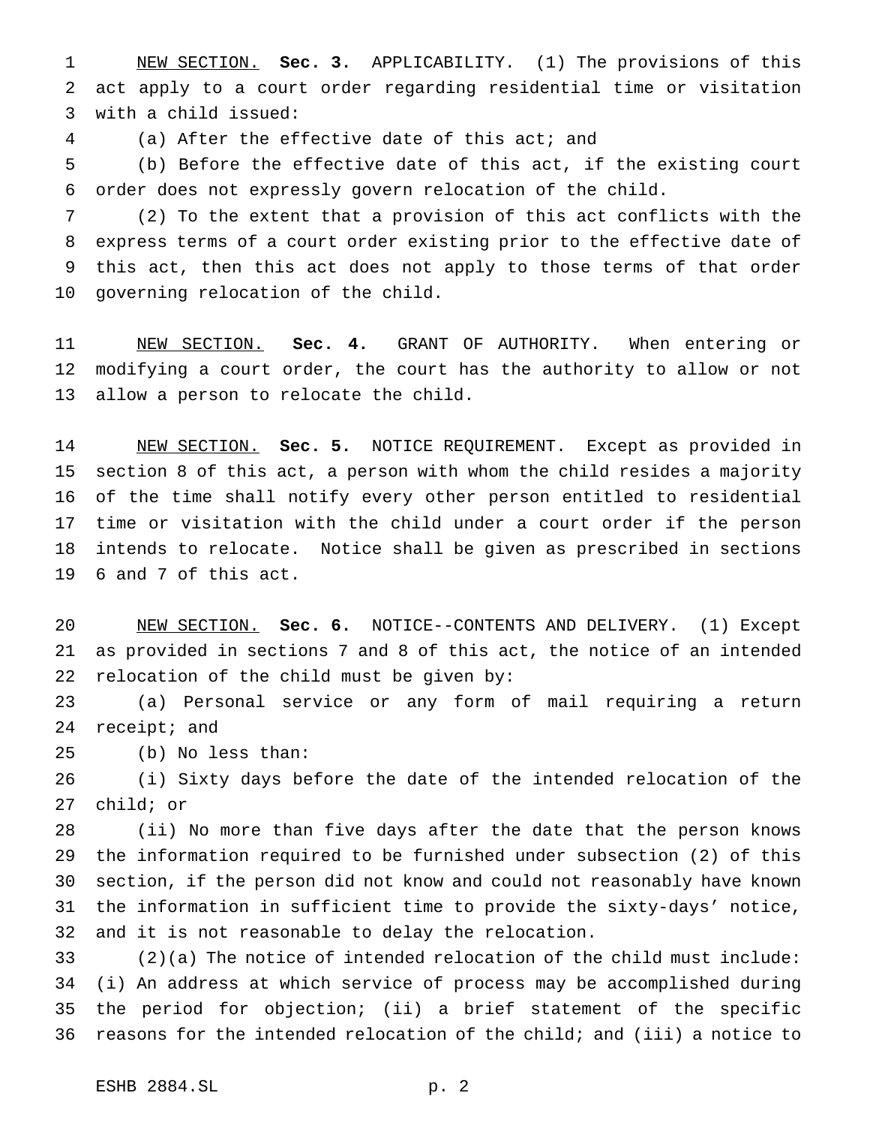NEW SECTION. **Sec. 3.** APPLICABILITY. (1) The provisions of this act apply to a court order regarding residential time or visitation with a child issued:

(a) After the effective date of this act; and

 (b) Before the effective date of this act, if the existing court order does not expressly govern relocation of the child.

 (2) To the extent that a provision of this act conflicts with the express terms of a court order existing prior to the effective date of this act, then this act does not apply to those terms of that order governing relocation of the child.

 NEW SECTION. **Sec. 4.** GRANT OF AUTHORITY. When entering or modifying a court order, the court has the authority to allow or not allow a person to relocate the child.

 NEW SECTION. **Sec. 5.** NOTICE REQUIREMENT. Except as provided in section 8 of this act, a person with whom the child resides a majority of the time shall notify every other person entitled to residential time or visitation with the child under a court order if the person intends to relocate. Notice shall be given as prescribed in sections 6 and 7 of this act.

 NEW SECTION. **Sec. 6.** NOTICE--CONTENTS AND DELIVERY. (1) Except as provided in sections 7 and 8 of this act, the notice of an intended relocation of the child must be given by:

 (a) Personal service or any form of mail requiring a return receipt; and

(b) No less than:

 (i) Sixty days before the date of the intended relocation of the child; or

 (ii) No more than five days after the date that the person knows the information required to be furnished under subsection (2) of this section, if the person did not know and could not reasonably have known the information in sufficient time to provide the sixty-days' notice, and it is not reasonable to delay the relocation.

 (2)(a) The notice of intended relocation of the child must include: (i) An address at which service of process may be accomplished during the period for objection; (ii) a brief statement of the specific reasons for the intended relocation of the child; and (iii) a notice to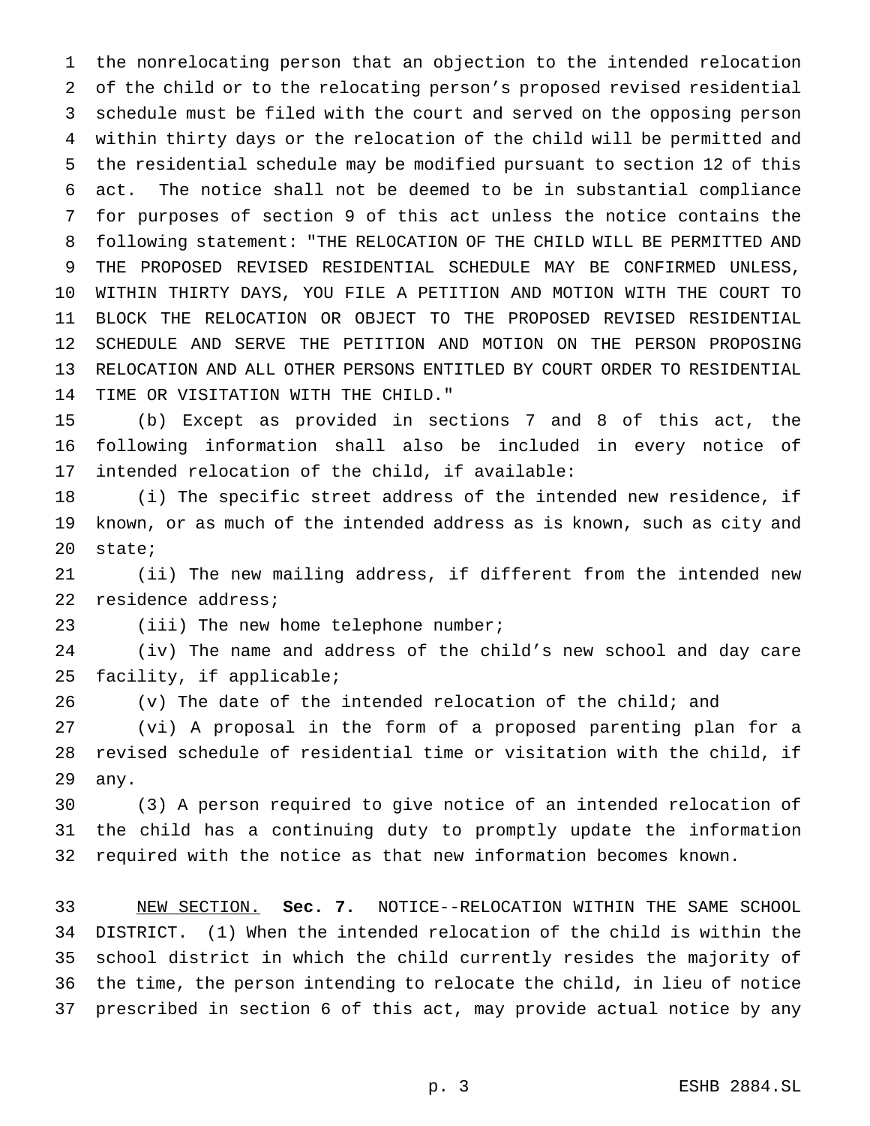the nonrelocating person that an objection to the intended relocation of the child or to the relocating person's proposed revised residential schedule must be filed with the court and served on the opposing person within thirty days or the relocation of the child will be permitted and the residential schedule may be modified pursuant to section 12 of this act. The notice shall not be deemed to be in substantial compliance for purposes of section 9 of this act unless the notice contains the following statement: "THE RELOCATION OF THE CHILD WILL BE PERMITTED AND THE PROPOSED REVISED RESIDENTIAL SCHEDULE MAY BE CONFIRMED UNLESS, WITHIN THIRTY DAYS, YOU FILE A PETITION AND MOTION WITH THE COURT TO BLOCK THE RELOCATION OR OBJECT TO THE PROPOSED REVISED RESIDENTIAL SCHEDULE AND SERVE THE PETITION AND MOTION ON THE PERSON PROPOSING RELOCATION AND ALL OTHER PERSONS ENTITLED BY COURT ORDER TO RESIDENTIAL TIME OR VISITATION WITH THE CHILD."

 (b) Except as provided in sections 7 and 8 of this act, the following information shall also be included in every notice of intended relocation of the child, if available:

 (i) The specific street address of the intended new residence, if known, or as much of the intended address as is known, such as city and state;

 (ii) The new mailing address, if different from the intended new residence address;

23 (iii) The new home telephone number;

 (iv) The name and address of the child's new school and day care facility, if applicable;

(v) The date of the intended relocation of the child; and

 (vi) A proposal in the form of a proposed parenting plan for a revised schedule of residential time or visitation with the child, if any.

 (3) A person required to give notice of an intended relocation of the child has a continuing duty to promptly update the information required with the notice as that new information becomes known.

 NEW SECTION. **Sec. 7.** NOTICE--RELOCATION WITHIN THE SAME SCHOOL DISTRICT. (1) When the intended relocation of the child is within the school district in which the child currently resides the majority of the time, the person intending to relocate the child, in lieu of notice prescribed in section 6 of this act, may provide actual notice by any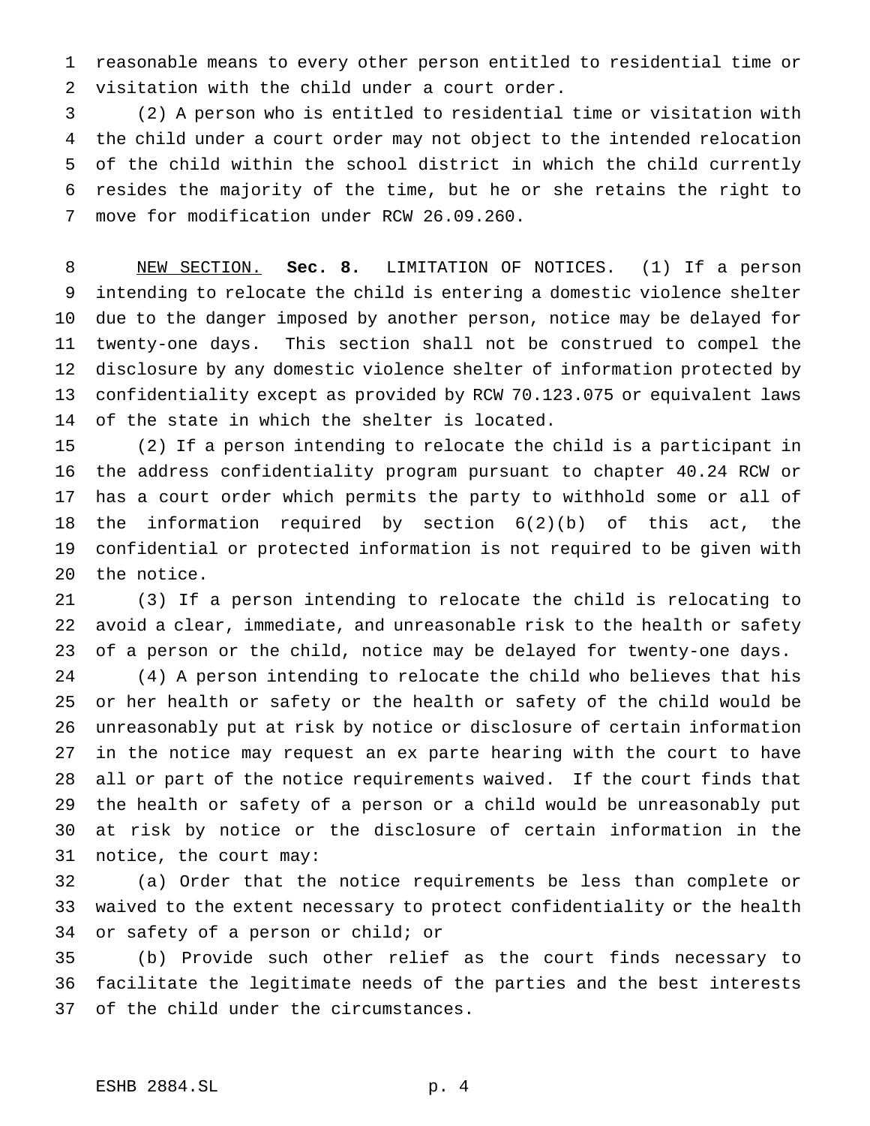reasonable means to every other person entitled to residential time or visitation with the child under a court order.

 (2) A person who is entitled to residential time or visitation with the child under a court order may not object to the intended relocation of the child within the school district in which the child currently resides the majority of the time, but he or she retains the right to move for modification under RCW 26.09.260.

 NEW SECTION. **Sec. 8.** LIMITATION OF NOTICES. (1) If a person intending to relocate the child is entering a domestic violence shelter due to the danger imposed by another person, notice may be delayed for twenty-one days. This section shall not be construed to compel the disclosure by any domestic violence shelter of information protected by confidentiality except as provided by RCW 70.123.075 or equivalent laws of the state in which the shelter is located.

 (2) If a person intending to relocate the child is a participant in the address confidentiality program pursuant to chapter 40.24 RCW or has a court order which permits the party to withhold some or all of the information required by section 6(2)(b) of this act, the confidential or protected information is not required to be given with the notice.

 (3) If a person intending to relocate the child is relocating to avoid a clear, immediate, and unreasonable risk to the health or safety of a person or the child, notice may be delayed for twenty-one days.

 (4) A person intending to relocate the child who believes that his or her health or safety or the health or safety of the child would be unreasonably put at risk by notice or disclosure of certain information in the notice may request an ex parte hearing with the court to have all or part of the notice requirements waived. If the court finds that the health or safety of a person or a child would be unreasonably put at risk by notice or the disclosure of certain information in the notice, the court may:

 (a) Order that the notice requirements be less than complete or waived to the extent necessary to protect confidentiality or the health or safety of a person or child; or

 (b) Provide such other relief as the court finds necessary to facilitate the legitimate needs of the parties and the best interests of the child under the circumstances.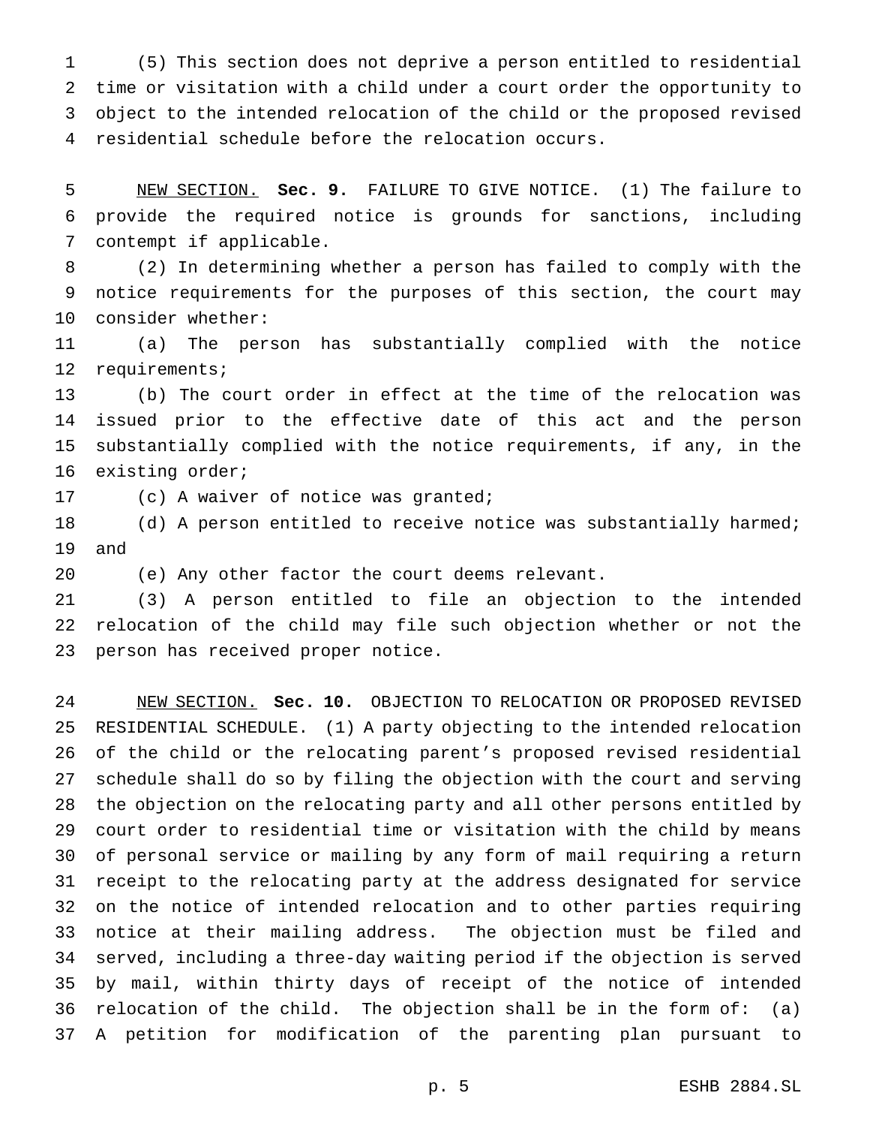(5) This section does not deprive a person entitled to residential time or visitation with a child under a court order the opportunity to object to the intended relocation of the child or the proposed revised residential schedule before the relocation occurs.

 NEW SECTION. **Sec. 9.** FAILURE TO GIVE NOTICE. (1) The failure to provide the required notice is grounds for sanctions, including contempt if applicable.

 (2) In determining whether a person has failed to comply with the notice requirements for the purposes of this section, the court may consider whether:

 (a) The person has substantially complied with the notice requirements;

 (b) The court order in effect at the time of the relocation was issued prior to the effective date of this act and the person substantially complied with the notice requirements, if any, in the existing order;

(c) A waiver of notice was granted;

18 (d) A person entitled to receive notice was substantially harmed; and

(e) Any other factor the court deems relevant.

 (3) A person entitled to file an objection to the intended relocation of the child may file such objection whether or not the person has received proper notice.

 NEW SECTION. **Sec. 10.** OBJECTION TO RELOCATION OR PROPOSED REVISED RESIDENTIAL SCHEDULE. (1) A party objecting to the intended relocation of the child or the relocating parent's proposed revised residential schedule shall do so by filing the objection with the court and serving the objection on the relocating party and all other persons entitled by court order to residential time or visitation with the child by means of personal service or mailing by any form of mail requiring a return receipt to the relocating party at the address designated for service on the notice of intended relocation and to other parties requiring notice at their mailing address. The objection must be filed and served, including a three-day waiting period if the objection is served by mail, within thirty days of receipt of the notice of intended relocation of the child. The objection shall be in the form of: (a) A petition for modification of the parenting plan pursuant to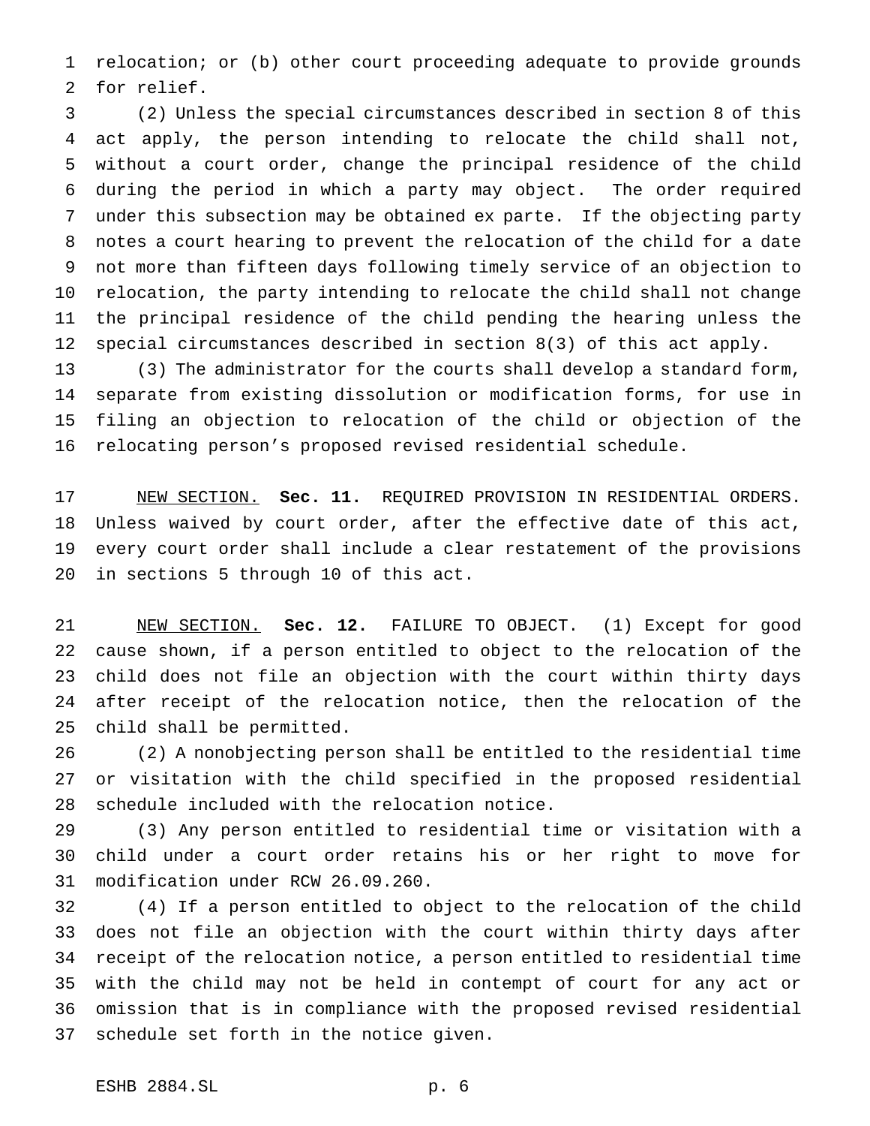relocation; or (b) other court proceeding adequate to provide grounds for relief.

 (2) Unless the special circumstances described in section 8 of this act apply, the person intending to relocate the child shall not, without a court order, change the principal residence of the child during the period in which a party may object. The order required under this subsection may be obtained ex parte. If the objecting party notes a court hearing to prevent the relocation of the child for a date not more than fifteen days following timely service of an objection to relocation, the party intending to relocate the child shall not change the principal residence of the child pending the hearing unless the special circumstances described in section 8(3) of this act apply.

 (3) The administrator for the courts shall develop a standard form, separate from existing dissolution or modification forms, for use in filing an objection to relocation of the child or objection of the relocating person's proposed revised residential schedule.

 NEW SECTION. **Sec. 11.** REQUIRED PROVISION IN RESIDENTIAL ORDERS. Unless waived by court order, after the effective date of this act, every court order shall include a clear restatement of the provisions in sections 5 through 10 of this act.

 NEW SECTION. **Sec. 12.** FAILURE TO OBJECT. (1) Except for good cause shown, if a person entitled to object to the relocation of the child does not file an objection with the court within thirty days after receipt of the relocation notice, then the relocation of the child shall be permitted.

 (2) A nonobjecting person shall be entitled to the residential time or visitation with the child specified in the proposed residential schedule included with the relocation notice.

 (3) Any person entitled to residential time or visitation with a child under a court order retains his or her right to move for modification under RCW 26.09.260.

 (4) If a person entitled to object to the relocation of the child does not file an objection with the court within thirty days after receipt of the relocation notice, a person entitled to residential time with the child may not be held in contempt of court for any act or omission that is in compliance with the proposed revised residential schedule set forth in the notice given.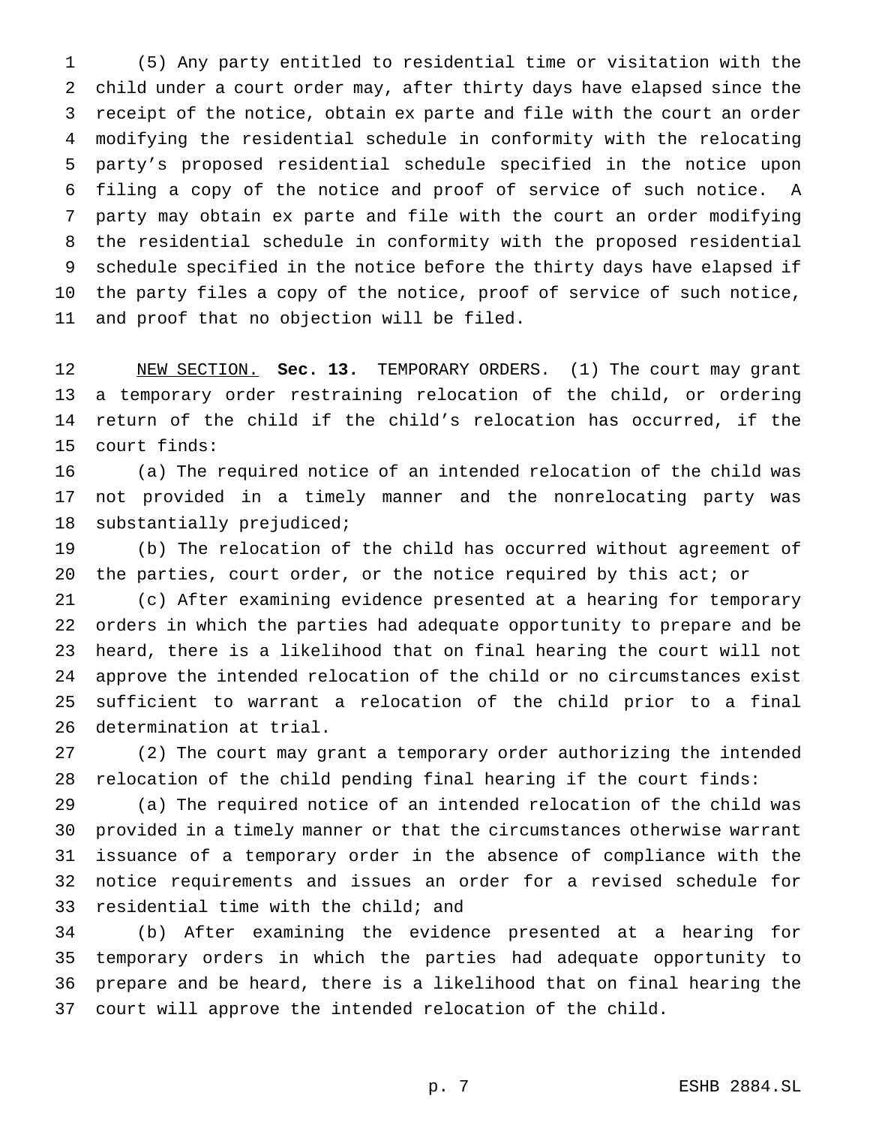(5) Any party entitled to residential time or visitation with the child under a court order may, after thirty days have elapsed since the receipt of the notice, obtain ex parte and file with the court an order modifying the residential schedule in conformity with the relocating party's proposed residential schedule specified in the notice upon filing a copy of the notice and proof of service of such notice. A party may obtain ex parte and file with the court an order modifying the residential schedule in conformity with the proposed residential schedule specified in the notice before the thirty days have elapsed if the party files a copy of the notice, proof of service of such notice, and proof that no objection will be filed.

 NEW SECTION. **Sec. 13.** TEMPORARY ORDERS. (1) The court may grant a temporary order restraining relocation of the child, or ordering return of the child if the child's relocation has occurred, if the court finds:

 (a) The required notice of an intended relocation of the child was not provided in a timely manner and the nonrelocating party was substantially prejudiced;

 (b) The relocation of the child has occurred without agreement of the parties, court order, or the notice required by this act; or

 (c) After examining evidence presented at a hearing for temporary orders in which the parties had adequate opportunity to prepare and be heard, there is a likelihood that on final hearing the court will not approve the intended relocation of the child or no circumstances exist sufficient to warrant a relocation of the child prior to a final determination at trial.

 (2) The court may grant a temporary order authorizing the intended relocation of the child pending final hearing if the court finds:

 (a) The required notice of an intended relocation of the child was provided in a timely manner or that the circumstances otherwise warrant issuance of a temporary order in the absence of compliance with the notice requirements and issues an order for a revised schedule for residential time with the child; and

 (b) After examining the evidence presented at a hearing for temporary orders in which the parties had adequate opportunity to prepare and be heard, there is a likelihood that on final hearing the court will approve the intended relocation of the child.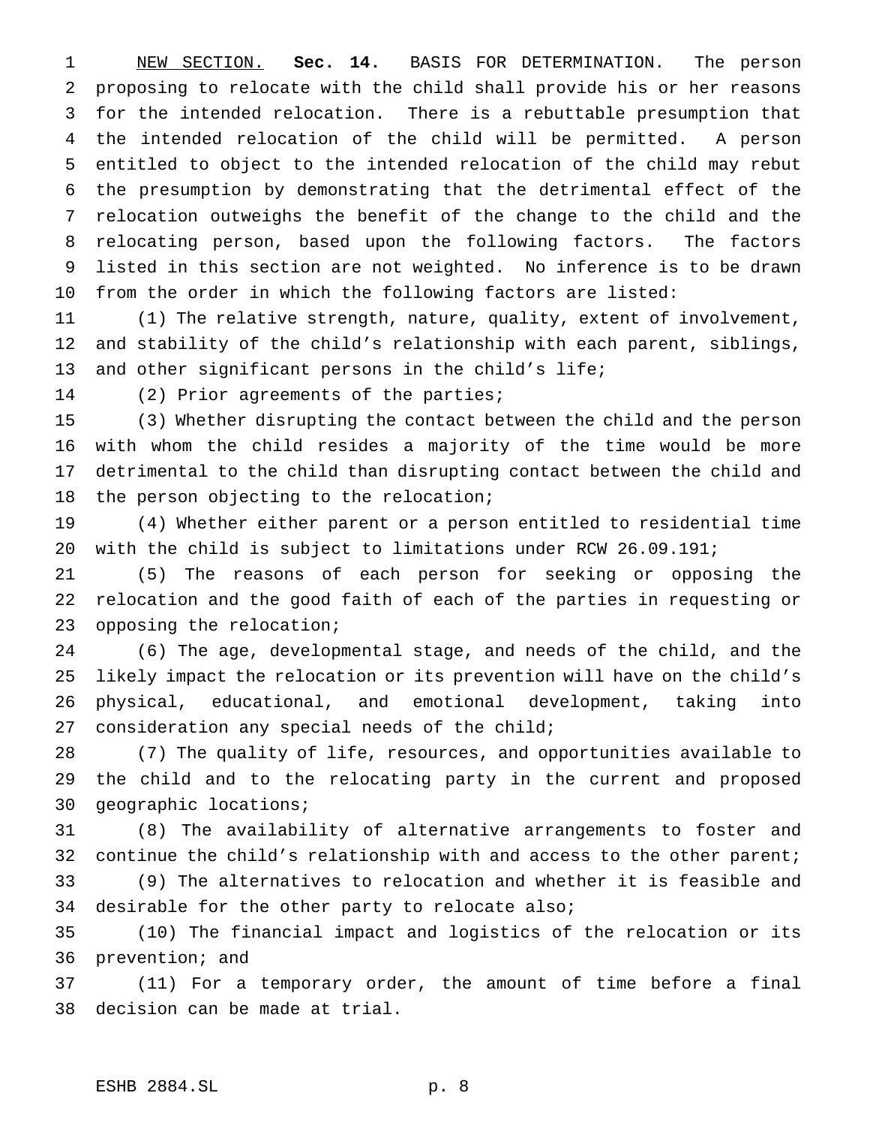NEW SECTION. **Sec. 14.** BASIS FOR DETERMINATION. The person proposing to relocate with the child shall provide his or her reasons for the intended relocation. There is a rebuttable presumption that the intended relocation of the child will be permitted. A person entitled to object to the intended relocation of the child may rebut the presumption by demonstrating that the detrimental effect of the relocation outweighs the benefit of the change to the child and the relocating person, based upon the following factors. The factors listed in this section are not weighted. No inference is to be drawn from the order in which the following factors are listed:

 (1) The relative strength, nature, quality, extent of involvement, and stability of the child's relationship with each parent, siblings, and other significant persons in the child's life;

(2) Prior agreements of the parties;

 (3) Whether disrupting the contact between the child and the person with whom the child resides a majority of the time would be more detrimental to the child than disrupting contact between the child and the person objecting to the relocation;

 (4) Whether either parent or a person entitled to residential time with the child is subject to limitations under RCW 26.09.191;

 (5) The reasons of each person for seeking or opposing the relocation and the good faith of each of the parties in requesting or opposing the relocation;

 (6) The age, developmental stage, and needs of the child, and the likely impact the relocation or its prevention will have on the child's physical, educational, and emotional development, taking into 27 consideration any special needs of the child;

 (7) The quality of life, resources, and opportunities available to the child and to the relocating party in the current and proposed geographic locations;

 (8) The availability of alternative arrangements to foster and continue the child's relationship with and access to the other parent;

 (9) The alternatives to relocation and whether it is feasible and desirable for the other party to relocate also;

 (10) The financial impact and logistics of the relocation or its prevention; and

 (11) For a temporary order, the amount of time before a final decision can be made at trial.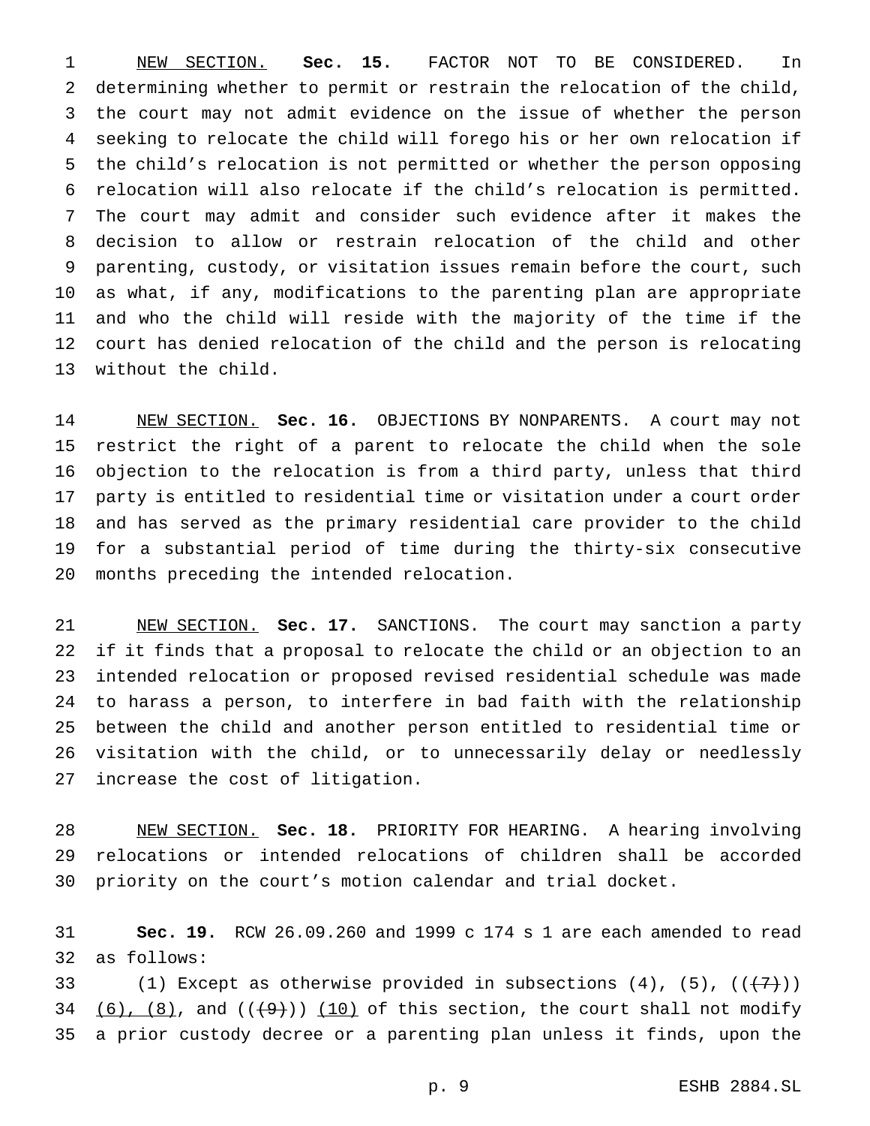NEW SECTION. **Sec. 15.** FACTOR NOT TO BE CONSIDERED. In determining whether to permit or restrain the relocation of the child, the court may not admit evidence on the issue of whether the person seeking to relocate the child will forego his or her own relocation if the child's relocation is not permitted or whether the person opposing relocation will also relocate if the child's relocation is permitted. The court may admit and consider such evidence after it makes the decision to allow or restrain relocation of the child and other parenting, custody, or visitation issues remain before the court, such as what, if any, modifications to the parenting plan are appropriate and who the child will reside with the majority of the time if the court has denied relocation of the child and the person is relocating without the child.

 NEW SECTION. **Sec. 16.** OBJECTIONS BY NONPARENTS. A court may not restrict the right of a parent to relocate the child when the sole objection to the relocation is from a third party, unless that third party is entitled to residential time or visitation under a court order and has served as the primary residential care provider to the child for a substantial period of time during the thirty-six consecutive months preceding the intended relocation.

 NEW SECTION. **Sec. 17.** SANCTIONS. The court may sanction a party if it finds that a proposal to relocate the child or an objection to an intended relocation or proposed revised residential schedule was made to harass a person, to interfere in bad faith with the relationship between the child and another person entitled to residential time or visitation with the child, or to unnecessarily delay or needlessly increase the cost of litigation.

 NEW SECTION. **Sec. 18.** PRIORITY FOR HEARING. A hearing involving relocations or intended relocations of children shall be accorded priority on the court's motion calendar and trial docket.

 **Sec. 19.** RCW 26.09.260 and 1999 c 174 s 1 are each amended to read as follows:

33 (1) Except as otherwise provided in subsections  $(4)$ ,  $(5)$ ,  $((+7)$ ) 34 (6), (8), and  $((+9)$ ) (10) of this section, the court shall not modify a prior custody decree or a parenting plan unless it finds, upon the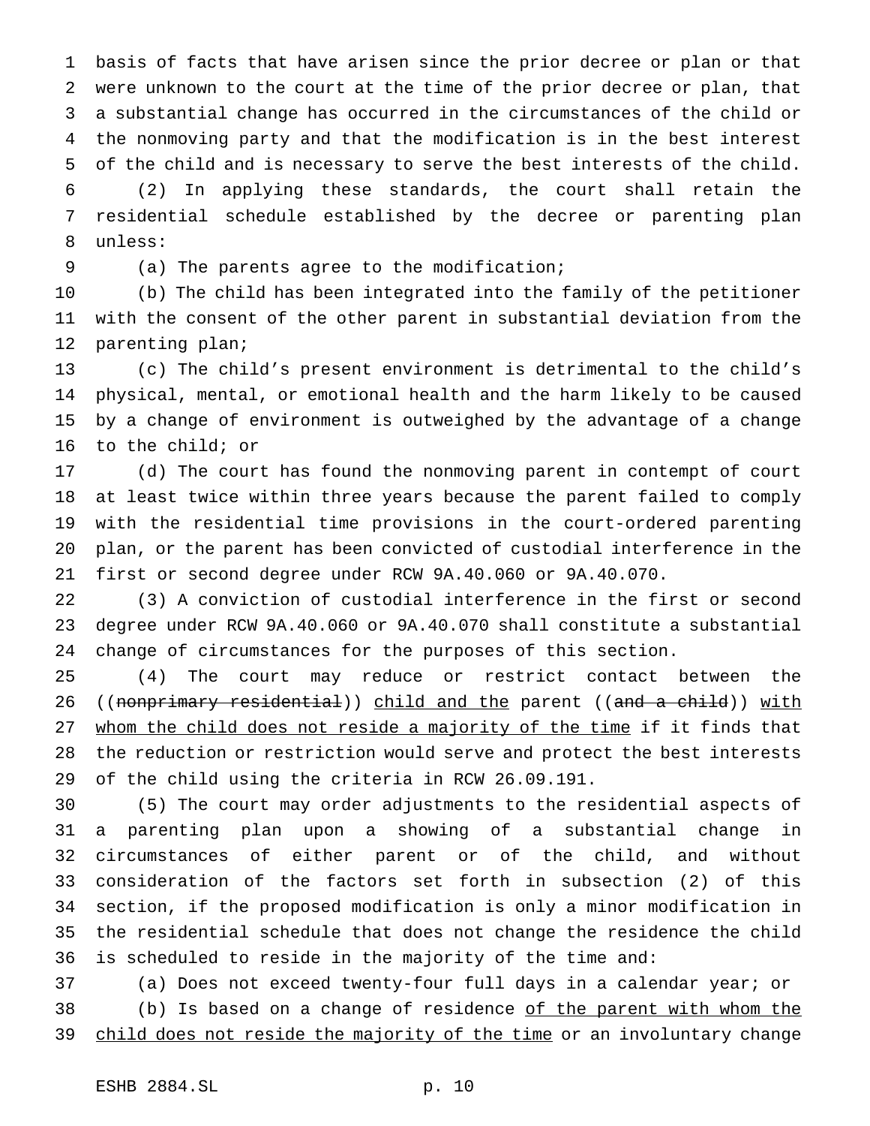basis of facts that have arisen since the prior decree or plan or that were unknown to the court at the time of the prior decree or plan, that a substantial change has occurred in the circumstances of the child or the nonmoving party and that the modification is in the best interest of the child and is necessary to serve the best interests of the child.

 (2) In applying these standards, the court shall retain the residential schedule established by the decree or parenting plan unless:

(a) The parents agree to the modification;

 (b) The child has been integrated into the family of the petitioner with the consent of the other parent in substantial deviation from the parenting plan;

 (c) The child's present environment is detrimental to the child's physical, mental, or emotional health and the harm likely to be caused by a change of environment is outweighed by the advantage of a change to the child; or

 (d) The court has found the nonmoving parent in contempt of court at least twice within three years because the parent failed to comply with the residential time provisions in the court-ordered parenting plan, or the parent has been convicted of custodial interference in the first or second degree under RCW 9A.40.060 or 9A.40.070.

 (3) A conviction of custodial interference in the first or second degree under RCW 9A.40.060 or 9A.40.070 shall constitute a substantial change of circumstances for the purposes of this section.

 (4) The court may reduce or restrict contact between the 26 ((nonprimary residential)) child and the parent ((and a child)) with whom the child does not reside a majority of the time if it finds that the reduction or restriction would serve and protect the best interests of the child using the criteria in RCW 26.09.191.

 (5) The court may order adjustments to the residential aspects of a parenting plan upon a showing of a substantial change in circumstances of either parent or of the child, and without consideration of the factors set forth in subsection (2) of this section, if the proposed modification is only a minor modification in the residential schedule that does not change the residence the child is scheduled to reside in the majority of the time and:

 (a) Does not exceed twenty-four full days in a calendar year; or 38 (b) Is based on a change of residence of the parent with whom the 39 child does not reside the majority of the time or an involuntary change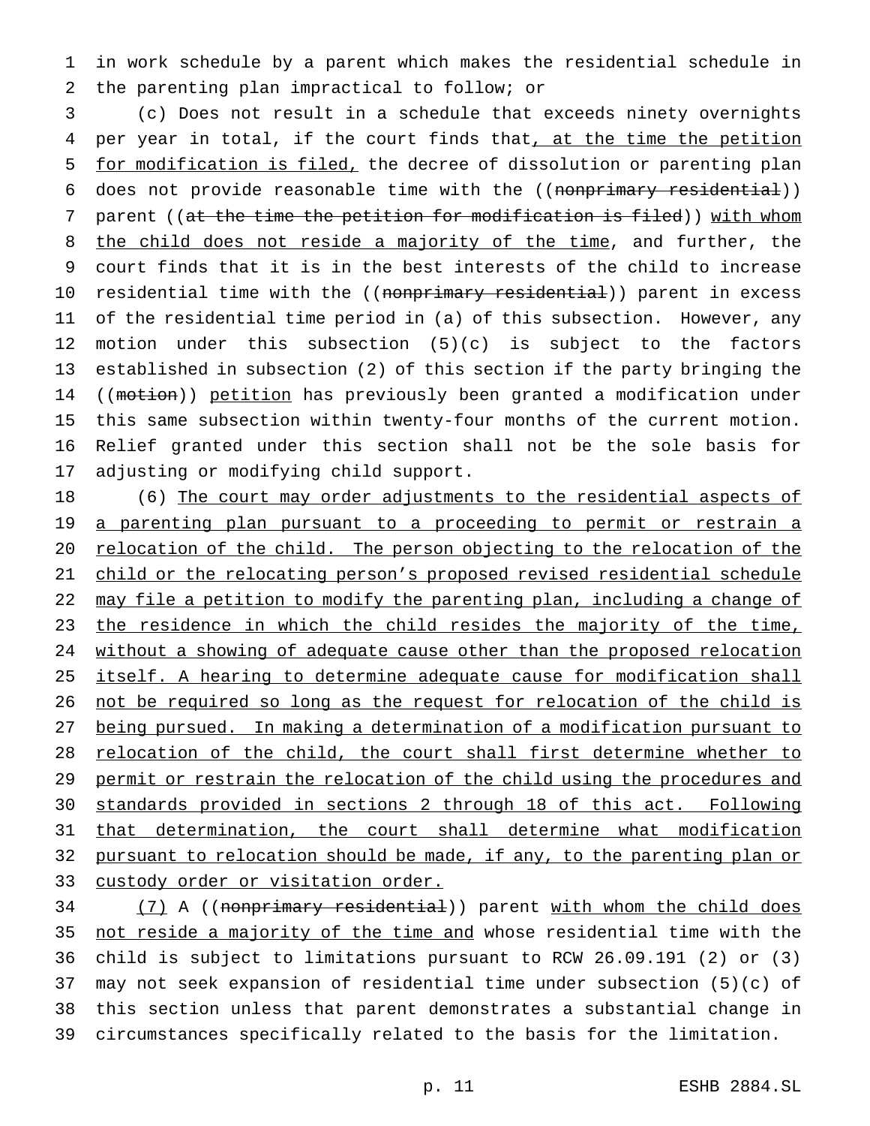in work schedule by a parent which makes the residential schedule in the parenting plan impractical to follow; or

 (c) Does not result in a schedule that exceeds ninety overnights 4 per year in total, if the court finds that, at the time the petition for modification is filed, the decree of dissolution or parenting plan 6 does not provide reasonable time with the ((nonprimary residential)) 7 parent ((at the time the petition for modification is filed)) with whom 8 the child does not reside a majority of the time, and further, the court finds that it is in the best interests of the child to increase 10 residential time with the ((<del>nonprimary residential</del>)) parent in excess of the residential time period in (a) of this subsection. However, any motion under this subsection (5)(c) is subject to the factors established in subsection (2) of this section if the party bringing the 14 ((motion)) petition has previously been granted a modification under this same subsection within twenty-four months of the current motion. Relief granted under this section shall not be the sole basis for adjusting or modifying child support.

18 (6) The court may order adjustments to the residential aspects of 19 a parenting plan pursuant to a proceeding to permit or restrain a 20 relocation of the child. The person objecting to the relocation of the child or the relocating person's proposed revised residential schedule may file a petition to modify the parenting plan, including a change of 23 the residence in which the child resides the majority of the time, 24 without a showing of adequate cause other than the proposed relocation itself. A hearing to determine adequate cause for modification shall not be required so long as the request for relocation of the child is being pursued. In making a determination of a modification pursuant to relocation of the child, the court shall first determine whether to 29 permit or restrain the relocation of the child using the procedures and standards provided in sections 2 through 18 of this act. Following that determination, the court shall determine what modification pursuant to relocation should be made, if any, to the parenting plan or custody order or visitation order.

34 (7) A ((nonprimary residential)) parent with whom the child does not reside a majority of the time and whose residential time with the child is subject to limitations pursuant to RCW 26.09.191 (2) or (3) may not seek expansion of residential time under subsection (5)(c) of this section unless that parent demonstrates a substantial change in circumstances specifically related to the basis for the limitation.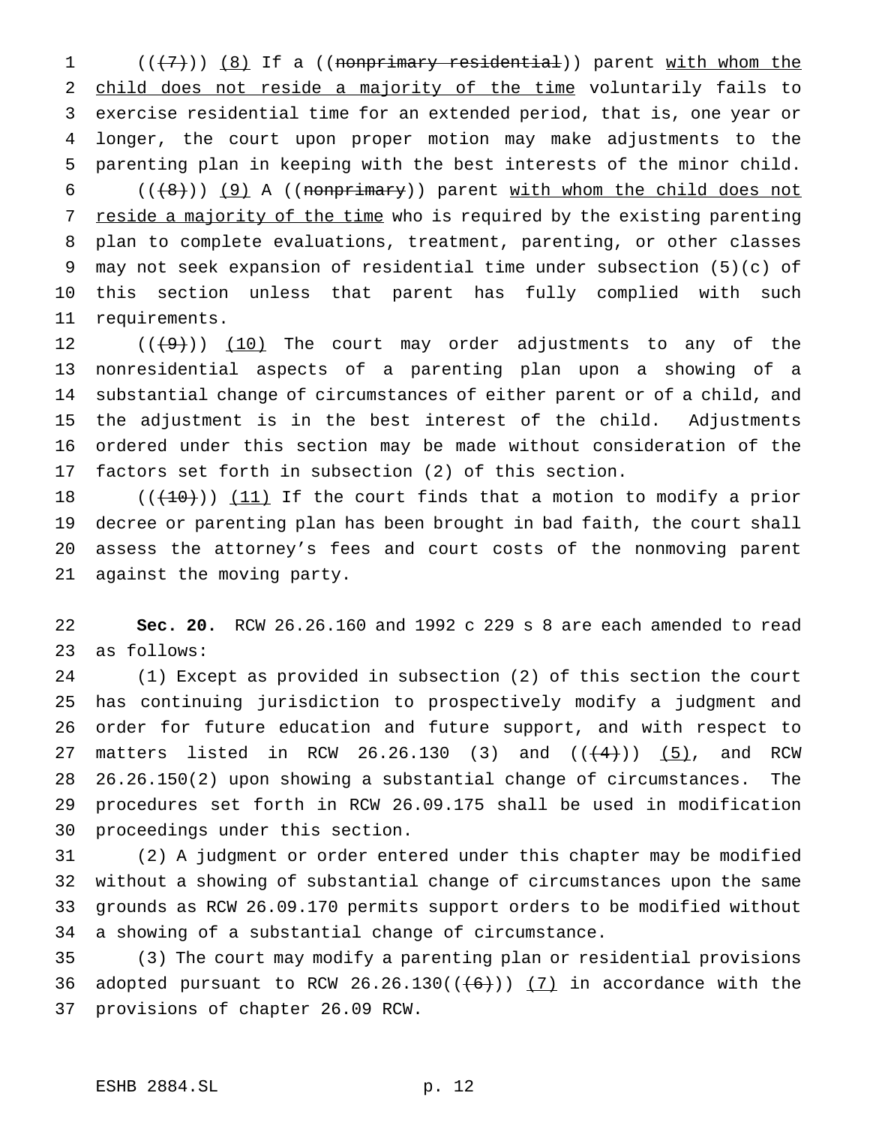1 (((7)) (8) If a ((nonprimary residential)) parent with whom the 2 child does not reside a majority of the time voluntarily fails to exercise residential time for an extended period, that is, one year or longer, the court upon proper motion may make adjustments to the parenting plan in keeping with the best interests of the minor child.

 $((+8))$  (9) A ((nonprimary)) parent with whom the child does not 7 reside a majority of the time who is required by the existing parenting plan to complete evaluations, treatment, parenting, or other classes may not seek expansion of residential time under subsection (5)(c) of this section unless that parent has fully complied with such requirements.

 $((+9))$   $(10)$  The court may order adjustments to any of the nonresidential aspects of a parenting plan upon a showing of a substantial change of circumstances of either parent or of a child, and the adjustment is in the best interest of the child. Adjustments ordered under this section may be made without consideration of the factors set forth in subsection (2) of this section.

 $((+10))$   $(11)$  If the court finds that a motion to modify a prior decree or parenting plan has been brought in bad faith, the court shall assess the attorney's fees and court costs of the nonmoving parent against the moving party.

 **Sec. 20.** RCW 26.26.160 and 1992 c 229 s 8 are each amended to read as follows:

 (1) Except as provided in subsection (2) of this section the court has continuing jurisdiction to prospectively modify a judgment and order for future education and future support, and with respect to 27 matters listed in RCW 26.26.130 (3) and  $((+4))$  (5), and RCW 26.26.150(2) upon showing a substantial change of circumstances. The procedures set forth in RCW 26.09.175 shall be used in modification proceedings under this section.

 (2) A judgment or order entered under this chapter may be modified without a showing of substantial change of circumstances upon the same grounds as RCW 26.09.170 permits support orders to be modified without a showing of a substantial change of circumstance.

 (3) The court may modify a parenting plan or residential provisions 36 adopted pursuant to RCW 26.26.130( $(\frac{6}{10})$   $\frac{7}{10}$  in accordance with the provisions of chapter 26.09 RCW.

# ESHB 2884.SL p. 12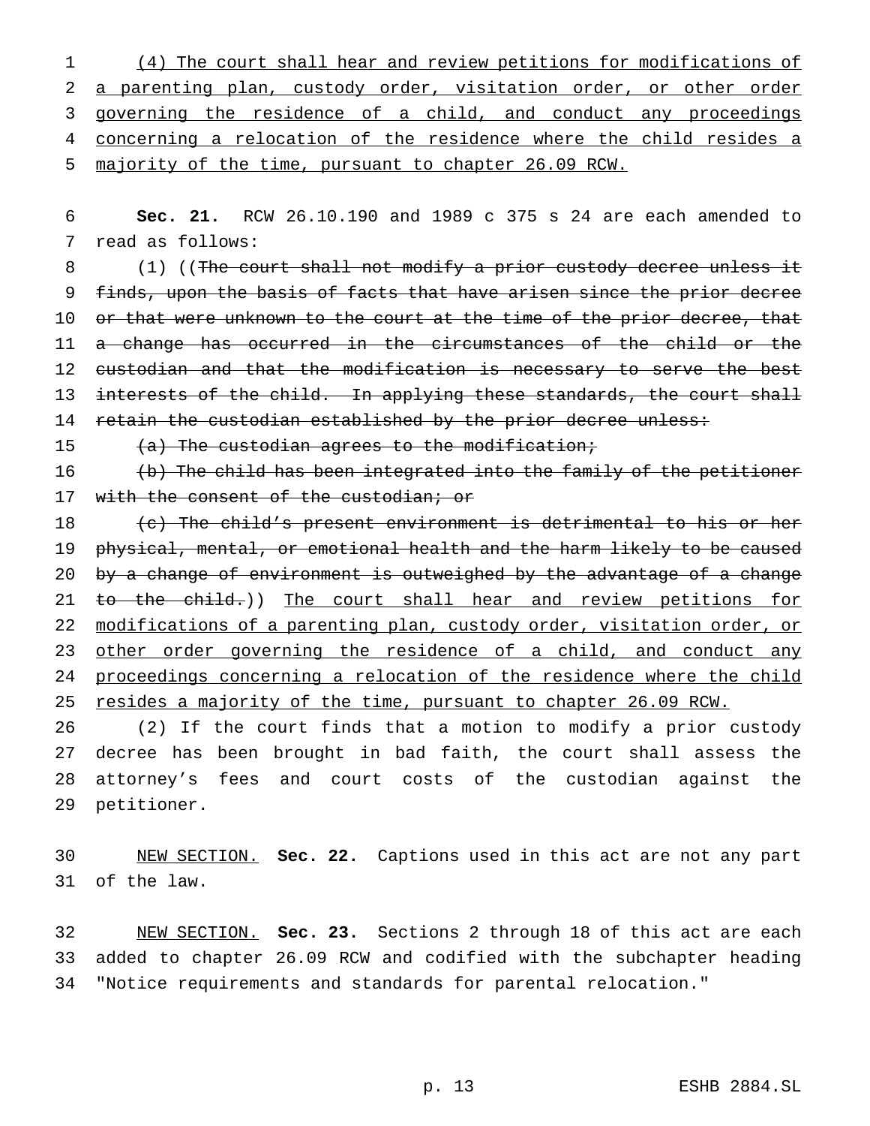(4) The court shall hear and review petitions for modifications of a parenting plan, custody order, visitation order, or other order governing the residence of a child, and conduct any proceedings concerning a relocation of the residence where the child resides a majority of the time, pursuant to chapter 26.09 RCW.

 **Sec. 21.** RCW 26.10.190 and 1989 c 375 s 24 are each amended to read as follows:

8 (1) ((The court shall not modify a prior custody decree unless it finds, upon the basis of facts that have arisen since the prior decree 10 or that were unknown to the court at the time of the prior decree, that 11 a change has occurred in the circumstances of the child or the 12 custodian and that the modification is necessary to serve the best 13 interests of the child. In applying these standards, the court shall 14 retain the custodian established by the prior decree unless:

 $(a)$  The custodian agrees to the modification;

 (b) The child has been integrated into the family of the petitioner 17 with the consent of the custodian; or

18 (c) The child's present environment is detrimental to his or her physical, mental, or emotional health and the harm likely to be caused 20 by a change of environment is outweighed by the advantage of a change 21 to the child.)) The court shall hear and review petitions for modifications of a parenting plan, custody order, visitation order, or 23 other order governing the residence of a child, and conduct any proceedings concerning a relocation of the residence where the child 25 resides a majority of the time, pursuant to chapter 26.09 RCW.

 (2) If the court finds that a motion to modify a prior custody decree has been brought in bad faith, the court shall assess the attorney's fees and court costs of the custodian against the petitioner.

 NEW SECTION. **Sec. 22.** Captions used in this act are not any part of the law.

 NEW SECTION. **Sec. 23.** Sections 2 through 18 of this act are each added to chapter 26.09 RCW and codified with the subchapter heading "Notice requirements and standards for parental relocation."